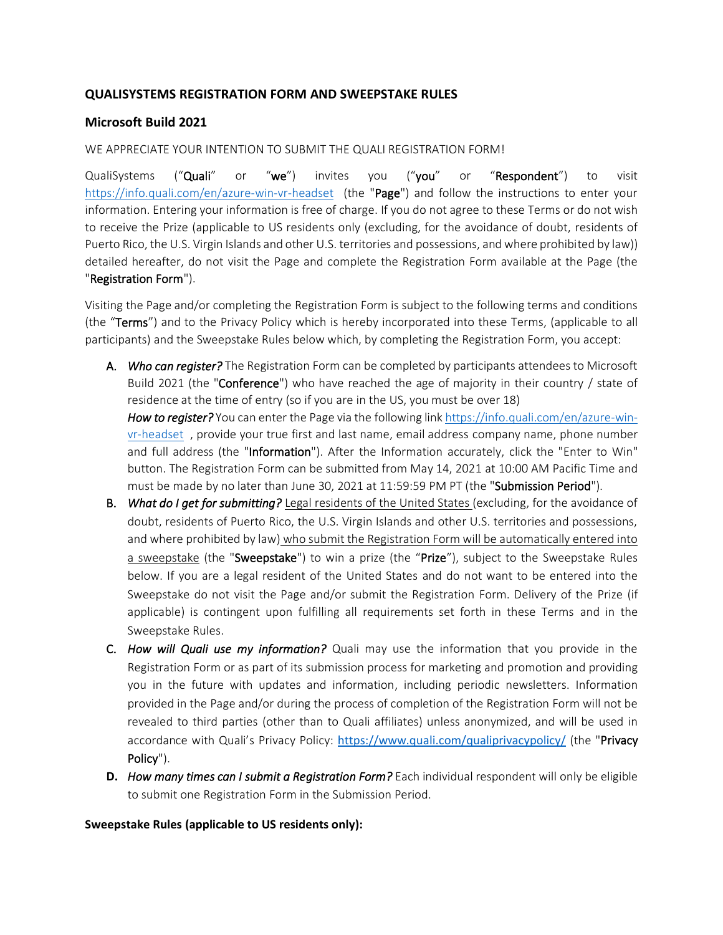## **QUALISYSTEMS REGISTRATION FORM AND SWEEPSTAKE RULES**

## **Microsoft Build 2021**

## WE APPRECIATE YOUR INTENTION TO SUBMIT THE QUALI REGISTRATION FORM!

QualiSystems ("Quali" or "we") invites you ("you" or "Respondent") to visit <https://info.quali.com/en/azure-win-vr-headset> (the "Page") and follow the instructions to enter your information. Entering your information is free of charge. If you do not agree to these Terms or do not wish to receive the Prize (applicable to US residents only (excluding, for the avoidance of doubt, residents of Puerto Rico, the U.S. Virgin Islands and other U.S. territories and possessions, and where prohibited by law)) detailed hereafter, do not visit the Page and complete the Registration Form available at the Page (the "Registration Form").

Visiting the Page and/or completing the Registration Form is subject to the following terms and conditions (the "Terms") and to the Privacy Policy which is hereby incorporated into these Terms, (applicable to all participants) and the Sweepstake Rules below which, by completing the Registration Form, you accept:

A. *Who can register?* The Registration Form can be completed by participants attendees to Microsoft Build 2021 (the "Conference") who have reached the age of majority in their country / state of residence at the time of entry (so if you are in the US, you must be over 18)

How to register? You can enter the Page via the following link [https://info.quali.com/en/azure-win](https://info.quali.com/en/azure-win-vr-headset)[vr-headset](https://info.quali.com/en/azure-win-vr-headset) , provide your true first and last name, email address company name, phone number and full address (the "Information"). After the Information accurately, click the "Enter to Win" button. The Registration Form can be submitted from May 14, 2021 at 10:00 AM Pacific Time and must be made by no later than June 30, 2021 at 11:59:59 PM PT (the "Submission Period").

- B. *What do I get for submitting?* Legal residents of the United States (excluding, for the avoidance of doubt, residents of Puerto Rico, the U.S. Virgin Islands and other U.S. territories and possessions, and where prohibited by law) who submit the Registration Form will be automatically entered into a sweepstake (the "Sweepstake") to win a prize (the "Prize"), subject to the Sweepstake Rules below. If you are a legal resident of the United States and do not want to be entered into the Sweepstake do not visit the Page and/or submit the Registration Form. Delivery of the Prize (if applicable) is contingent upon fulfilling all requirements set forth in these Terms and in the Sweepstake Rules.
- C. *How will Quali use my information?* Quali may use the information that you provide in the Registration Form or as part of its submission process for marketing and promotion and providing you in the future with updates and information, including periodic newsletters. Information provided in the Page and/or during the process of completion of the Registration Form will not be revealed to third parties (other than to Quali affiliates) unless anonymized, and will be used in accordance with Quali's Privacy Policy: <https://www.quali.com/qualiprivacypolicy/> (the "Privacy Policy").
- **D.** *How many times can I submit a Registration Form?* Each individual respondent will only be eligible to submit one Registration Form in the Submission Period.

## **Sweepstake Rules (applicable to US residents only):**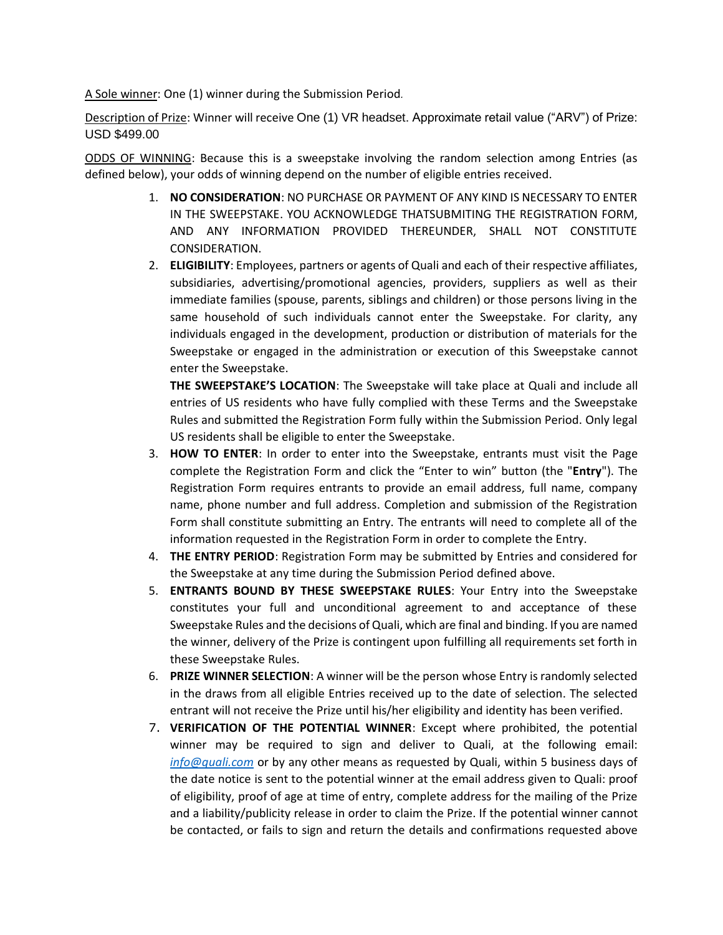A Sole winner: One (1) winner during the Submission Period*.*

Description of Prize: Winner will receive One (1) VR headset. Approximate retail value ("ARV") of Prize: USD \$499.00

ODDS OF WINNING: Because this is a sweepstake involving the random selection among Entries (as defined below), your odds of winning depend on the number of eligible entries received.

- 1. **NO CONSIDERATION**: NO PURCHASE OR PAYMENT OF ANY KIND IS NECESSARY TO ENTER IN THE SWEEPSTAKE. YOU ACKNOWLEDGE THATSUBMITING THE REGISTRATION FORM, AND ANY INFORMATION PROVIDED THEREUNDER, SHALL NOT CONSTITUTE CONSIDERATION.
- 2. **ELIGIBILITY**: Employees, partners or agents of Quali and each of their respective affiliates, subsidiaries, advertising/promotional agencies, providers, suppliers as well as their immediate families (spouse, parents, siblings and children) or those persons living in the same household of such individuals cannot enter the Sweepstake. For clarity, any individuals engaged in the development, production or distribution of materials for the Sweepstake or engaged in the administration or execution of this Sweepstake cannot enter the Sweepstake.

**THE SWEEPSTAKE'S LOCATION**: The Sweepstake will take place at Quali and include all entries of US residents who have fully complied with these Terms and the Sweepstake Rules and submitted the Registration Form fully within the Submission Period. Only legal US residents shall be eligible to enter the Sweepstake.

- 3. **HOW TO ENTER**: In order to enter into the Sweepstake, entrants must visit the Page complete the Registration Form and click the "Enter to win" button (the "**Entry**"). The Registration Form requires entrants to provide an email address, full name, company name, phone number and full address. Completion and submission of the Registration Form shall constitute submitting an Entry. The entrants will need to complete all of the information requested in the Registration Form in order to complete the Entry.
- 4. **THE ENTRY PERIOD**: Registration Form may be submitted by Entries and considered for the Sweepstake at any time during the Submission Period defined above.
- 5. **ENTRANTS BOUND BY THESE SWEEPSTAKE RULES**: Your Entry into the Sweepstake constitutes your full and unconditional agreement to and acceptance of these Sweepstake Rules and the decisions of Quali, which are final and binding. If you are named the winner, delivery of the Prize is contingent upon fulfilling all requirements set forth in these Sweepstake Rules.
- 6. **PRIZE WINNER SELECTION**: A winner will be the person whose Entry is randomly selected in the draws from all eligible Entries received up to the date of selection. The selected entrant will not receive the Prize until his/her eligibility and identity has been verified.
- 7. **VERIFICATION OF THE POTENTIAL WINNER**: Except where prohibited, the potential winner may be required to sign and deliver to Quali, at the following email: *[info@quali.com](mailto:info@quali.com%20%20[Joseph-)* or by any other means as requested by Quali, within 5 business days of the date notice is sent to the potential winner at the email address given to Quali: proof of eligibility, proof of age at time of entry, complete address for the mailing of the Prize and a liability/publicity release in order to claim the Prize. If the potential winner cannot be contacted, or fails to sign and return the details and confirmations requested above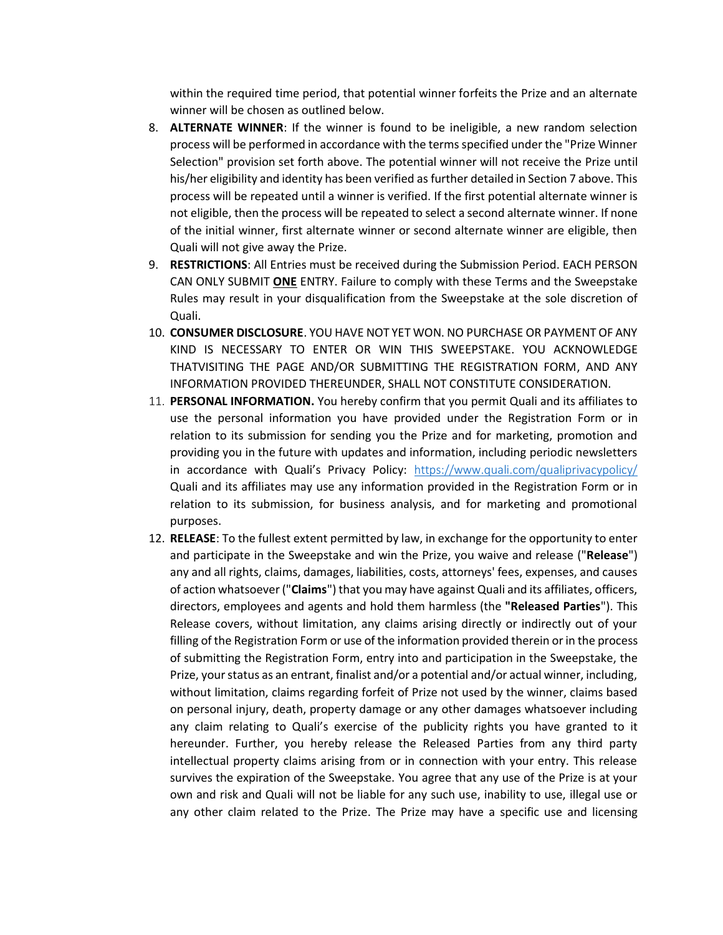within the required time period, that potential winner forfeits the Prize and an alternate winner will be chosen as outlined below.

- 8. **ALTERNATE WINNER**: If the winner is found to be ineligible, a new random selection process will be performed in accordance with the terms specified under the "Prize Winner Selection" provision set forth above. The potential winner will not receive the Prize until his/her eligibility and identity has been verified as further detailed in Section 7 above. This process will be repeated until a winner is verified. If the first potential alternate winner is not eligible, then the process will be repeated to select a second alternate winner. If none of the initial winner, first alternate winner or second alternate winner are eligible, then Quali will not give away the Prize.
- 9. **RESTRICTIONS**: All Entries must be received during the Submission Period. EACH PERSON CAN ONLY SUBMIT **ONE** ENTRY. Failure to comply with these Terms and the Sweepstake Rules may result in your disqualification from the Sweepstake at the sole discretion of Quali.
- 10. **CONSUMER DISCLOSURE**. YOU HAVE NOT YET WON. NO PURCHASE OR PAYMENT OF ANY KIND IS NECESSARY TO ENTER OR WIN THIS SWEEPSTAKE. YOU ACKNOWLEDGE THATVISITING THE PAGE AND/OR SUBMITTING THE REGISTRATION FORM, AND ANY INFORMATION PROVIDED THEREUNDER, SHALL NOT CONSTITUTE CONSIDERATION.
- 11. **PERSONAL INFORMATION.** You hereby confirm that you permit Quali and its affiliates to use the personal information you have provided under the Registration Form or in relation to its submission for sending you the Prize and for marketing, promotion and providing you in the future with updates and information, including periodic newsletters in accordance with Quali's Privacy Policy: <https://www.quali.com/qualiprivacypolicy/> Quali and its affiliates may use any information provided in the Registration Form or in relation to its submission, for business analysis, and for marketing and promotional purposes.
- 12. **RELEASE**: To the fullest extent permitted by law, in exchange for the opportunity to enter and participate in the Sweepstake and win the Prize, you waive and release ("**Release**") any and all rights, claims, damages, liabilities, costs, attorneys' fees, expenses, and causes of action whatsoever ("**Claims**") that you may have against Quali and its affiliates, officers, directors, employees and agents and hold them harmless (the **"Released Parties**"). This Release covers, without limitation, any claims arising directly or indirectly out of your filling of the Registration Form or use of the information provided therein or in the process of submitting the Registration Form, entry into and participation in the Sweepstake, the Prize, your status as an entrant, finalist and/or a potential and/or actual winner, including, without limitation, claims regarding forfeit of Prize not used by the winner, claims based on personal injury, death, property damage or any other damages whatsoever including any claim relating to Quali's exercise of the publicity rights you have granted to it hereunder. Further, you hereby release the Released Parties from any third party intellectual property claims arising from or in connection with your entry. This release survives the expiration of the Sweepstake. You agree that any use of the Prize is at your own and risk and Quali will not be liable for any such use, inability to use, illegal use or any other claim related to the Prize. The Prize may have a specific use and licensing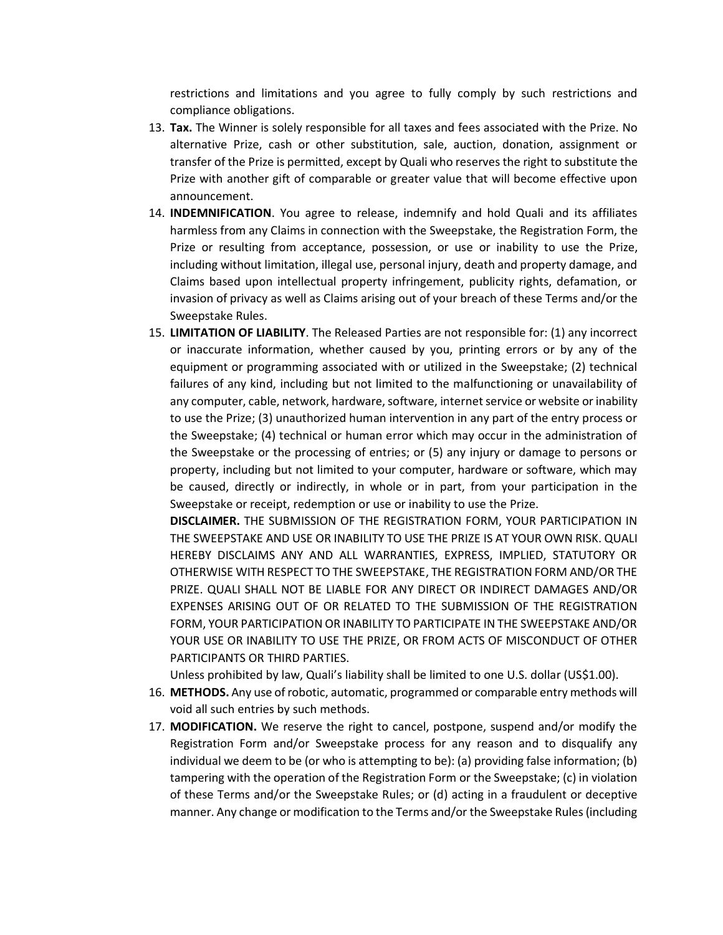restrictions and limitations and you agree to fully comply by such restrictions and compliance obligations.

- 13. **Tax.** The Winner is solely responsible for all taxes and fees associated with the Prize. No alternative Prize, cash or other substitution, sale, auction, donation, assignment or transfer of the Prize is permitted, except by Quali who reserves the right to substitute the Prize with another gift of comparable or greater value that will become effective upon announcement.
- 14. **INDEMNIFICATION**. You agree to release, indemnify and hold Quali and its affiliates harmless from any Claims in connection with the Sweepstake, the Registration Form, the Prize or resulting from acceptance, possession, or use or inability to use the Prize, including without limitation, illegal use, personal injury, death and property damage, and Claims based upon intellectual property infringement, publicity rights, defamation, or invasion of privacy as well as Claims arising out of your breach of these Terms and/or the Sweepstake Rules.
- 15. **LIMITATION OF LIABILITY**. The Released Parties are not responsible for: (1) any incorrect or inaccurate information, whether caused by you, printing errors or by any of the equipment or programming associated with or utilized in the Sweepstake; (2) technical failures of any kind, including but not limited to the malfunctioning or unavailability of any computer, cable, network, hardware, software, internet service or website or inability to use the Prize; (3) unauthorized human intervention in any part of the entry process or the Sweepstake; (4) technical or human error which may occur in the administration of the Sweepstake or the processing of entries; or (5) any injury or damage to persons or property, including but not limited to your computer, hardware or software, which may be caused, directly or indirectly, in whole or in part, from your participation in the Sweepstake or receipt, redemption or use or inability to use the Prize.

**DISCLAIMER.** THE SUBMISSION OF THE REGISTRATION FORM, YOUR PARTICIPATION IN THE SWEEPSTAKE AND USE OR INABILITY TO USE THE PRIZE IS AT YOUR OWN RISK. QUALI HEREBY DISCLAIMS ANY AND ALL WARRANTIES, EXPRESS, IMPLIED, STATUTORY OR OTHERWISE WITH RESPECT TO THE SWEEPSTAKE, THE REGISTRATION FORM AND/OR THE PRIZE. QUALI SHALL NOT BE LIABLE FOR ANY DIRECT OR INDIRECT DAMAGES AND/OR EXPENSES ARISING OUT OF OR RELATED TO THE SUBMISSION OF THE REGISTRATION FORM, YOUR PARTICIPATION OR INABILITY TO PARTICIPATE IN THE SWEEPSTAKE AND/OR YOUR USE OR INABILITY TO USE THE PRIZE, OR FROM ACTS OF MISCONDUCT OF OTHER PARTICIPANTS OR THIRD PARTIES.

Unless prohibited by law, Quali's liability shall be limited to one U.S. dollar (US\$1.00).

- 16. **METHODS.** Any use of robotic, automatic, programmed or comparable entry methods will void all such entries by such methods.
- 17. **MODIFICATION.** We reserve the right to cancel, postpone, suspend and/or modify the Registration Form and/or Sweepstake process for any reason and to disqualify any individual we deem to be (or who is attempting to be): (a) providing false information; (b) tampering with the operation of the Registration Form or the Sweepstake; (c) in violation of these Terms and/or the Sweepstake Rules; or (d) acting in a fraudulent or deceptive manner. Any change or modification to the Terms and/or the Sweepstake Rules(including